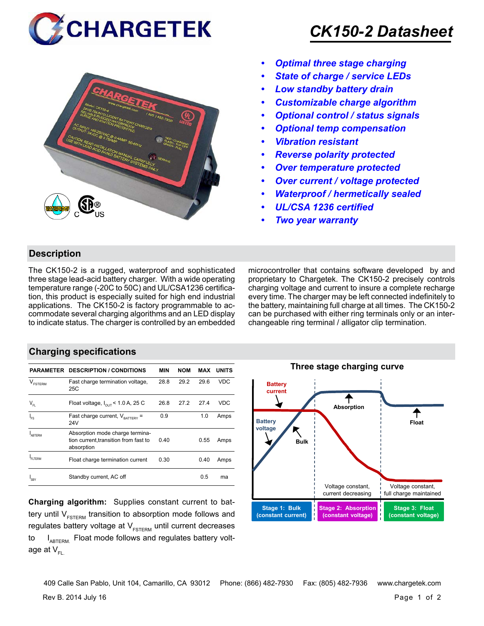



# *CK150-2 Datasheet*

- *• Optimal three stage charging*
- *• State of charge / service LEDs*
- *• Low standby battery drain*
- *• Customizable charge algorithm*
- *• Optional control / status signals*
- *• Optional temp compensation*
- *• Vibration resistant*
- *• Reverse polarity protected*
- *• Over temperature protected*
- *• Over current / voltage protected*
- *• Waterproof / hermetically sealed*
- *• UL/CSA 1236 certified*
- *• Two year warranty*

### **Description**

The CK150-2 is a rugged, waterproof and sophisticated three stage lead-acid battery charger. With a wide operating temperature range (-20C to 50C) and UL/CSA1236 certification, this product is especially suited for high end industrial applications. The CK150-2 is factory programmable to accommodate several charging algorithms and an LED display to indicate status. The charger is controlled by an embedded microcontroller that contains software developed by and proprietary to Chargetek. The CK150-2 precisely controls charging voltage and current to insure a complete recharge every time. The charger may be left connected indefinitely to the battery, maintaining full charge at all times. The CK150-2 can be purchased with either ring terminals only or an interchangeable ring terminal / alligator clip termination.

## **Charging specifications**

|                            | <b>PARAMETER DESCRIPTION / CONDITIONS</b>                                              | MIN  | <b>NOM</b> | MAX  | <b>UNITS</b> |
|----------------------------|----------------------------------------------------------------------------------------|------|------------|------|--------------|
| $\vee$<br><b>FSTERM</b>    | Fast charge termination voltage,<br>25C                                                | 28.8 | 29.2       | 29.6 | VDC          |
| $\mathsf{V}_{\mathsf{FL}}$ | Float voltage, $I_{\text{out}}$ < 1.0 A, 25 C                                          | 26.8 | 27.2       | 27.4 | VDC          |
| l<br>Fs                    | Fast charge current, $V_{\text{raffers}}$ =<br>24V                                     | 0.9  |            | 1.0  | Amps         |
| ARTFRM                     | Absorption mode charge termina-<br>tion current, transition from fast to<br>absorption | 0.40 |            | 0.55 | Amps         |
| FI TFRM                    | Float charge termination current                                                       | 0.30 |            | 0.40 | Amps         |
| 'SRY                       | Standby current, AC off                                                                |      |            | 0.5  | ma           |

**Charging algorithm:** Supplies constant current to battery until  $V_{ESTERM}$  transition to absorption mode follows and regulates battery voltage at  $V_{ESTFRM}$  until current decreases to  $I_{ABTERM}$ . Float mode follows and regulates battery voltage at  $V_{\text{F}}$ 



Rev B. 2014 July 16 Page 1 of 2 409 Calle San Pablo, Unit 104, Camarillo, CA 93012 Phone: (866) 482-7930 Fax: (805) 482-7936 www.chargetek.com